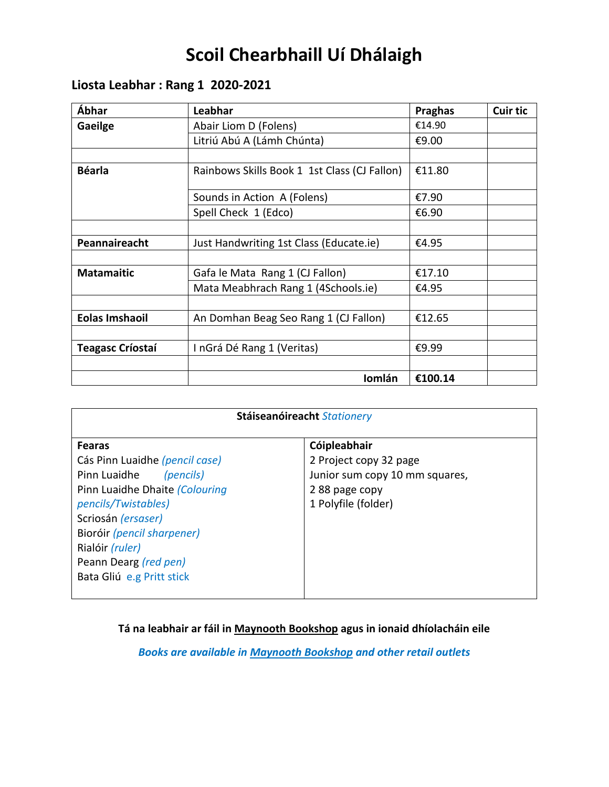# **Scoil Chearbhaill Uí Dhálaigh**

## **Liosta Leabhar : Rang 1 2020-2021**

| Ábhar                   | Leabhar                                      | <b>Praghas</b> | <b>Cuir tic</b> |
|-------------------------|----------------------------------------------|----------------|-----------------|
| Gaeilge                 | Abair Liom D (Folens)                        | €14.90         |                 |
|                         | Litriú Abú A (Lámh Chúnta)                   | €9.00          |                 |
|                         |                                              |                |                 |
| <b>Béarla</b>           | Rainbows Skills Book 1 1st Class (CJ Fallon) | €11.80         |                 |
|                         | Sounds in Action A (Folens)                  | €7.90          |                 |
|                         | Spell Check 1 (Edco)                         | €6.90          |                 |
|                         |                                              |                |                 |
| Peannaireacht           | Just Handwriting 1st Class (Educate.ie)      | €4.95          |                 |
|                         |                                              |                |                 |
| <b>Matamaitic</b>       | Gafa le Mata Rang 1 (CJ Fallon)              | €17.10         |                 |
|                         | Mata Meabhrach Rang 1 (4Schools.ie)          | €4.95          |                 |
|                         |                                              |                |                 |
| <b>Eolas Imshaoil</b>   | An Domhan Beag Seo Rang 1 (CJ Fallon)        | €12.65         |                 |
|                         |                                              |                |                 |
| <b>Teagasc Críostaí</b> | InGrá Dé Rang 1 (Veritas)                    | €9.99          |                 |
|                         |                                              |                |                 |
|                         | Iomlán                                       | €100.14        |                 |

| Cóipleabhair<br><b>Fearas</b><br>Cás Pinn Luaidhe (pencil case)<br>2 Project copy 32 page<br>Pinn Luaidhe<br>Junior sum copy 10 mm squares,<br>(pencils)<br>Pinn Luaidhe Dhaite (Colouring<br>288 page copy<br>1 Polyfile (folder)<br><i>pencils/Twistables)</i><br>Scriosán (ersaser)<br>Bioróir (pencil sharpener)<br>Rialóir (ruler) | Stáiseanóireacht Stationery |  |  |
|-----------------------------------------------------------------------------------------------------------------------------------------------------------------------------------------------------------------------------------------------------------------------------------------------------------------------------------------|-----------------------------|--|--|
| Peann Dearg (red pen)<br>Bata Gliú e.g Pritt stick                                                                                                                                                                                                                                                                                      |                             |  |  |

**Tá na leabhair ar fáil in Maynooth Bookshop agus in ionaid dhíolacháin eile**

*Books are available in Maynooth Bookshop and other retail outlets*